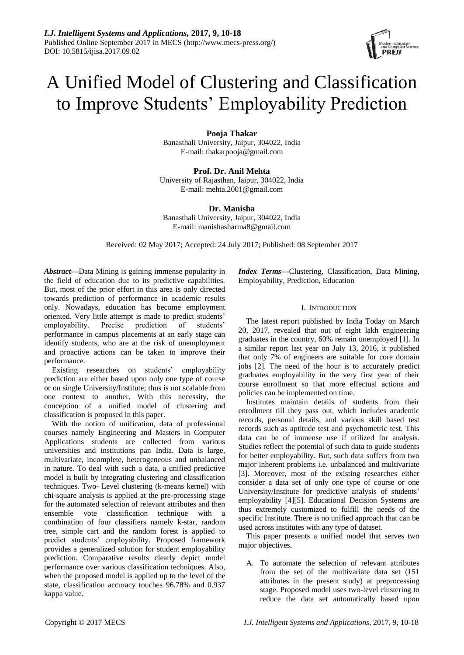# A Unified Model of Clustering and Classification to Improve Students' Employability Prediction

**Pooja Thakar**

Banasthali University, Jaipur, 304022, India E-mail: thakarpooja@gmail.com

**Prof. Dr. Anil Mehta** University of Rajasthan, Jaipur, 304022, India E-mail: mehta.2001@gmail.com

**Dr. Manisha**

Banasthali University, Jaipur, 304022, India E-mail: manishasharma8@gmail.com

Received: 02 May 2017; Accepted: 24 July 2017; Published: 08 September 2017

*Abstract***—**Data Mining is gaining immense popularity in the field of education due to its predictive capabilities. But, most of the prior effort in this area is only directed towards prediction of performance in academic results only. Nowadays, education has become employment oriented. Very little attempt is made to predict students' employability. Precise prediction of students' performance in campus placements at an early stage can identify students, who are at the risk of unemployment and proactive actions can be taken to improve their performance.

Existing researches on students' employability prediction are either based upon only one type of course or on single University/Institute; thus is not scalable from one context to another. With this necessity, the conception of a unified model of clustering and classification is proposed in this paper.

With the notion of unification, data of professional courses namely Engineering and Masters in Computer Applications students are collected from various universities and institutions pan India. Data is large, multivariate, incomplete, heterogeneous and unbalanced in nature. To deal with such a data, a unified predictive model is built by integrating clustering and classification techniques. Two- Level clustering (k-means kernel) with chi-square analysis is applied at the pre-processing stage for the automated selection of relevant attributes and then ensemble vote classification technique with a combination of four classifiers namely k-star, random tree, simple cart and the random forest is applied to predict students' employability. Proposed framework provides a generalized solution for student employability prediction. Comparative results clearly depict model performance over various classification techniques. Also, when the proposed model is applied up to the level of the state, classification accuracy touches 96.78% and 0.937 kappa value.

*Index Terms***—**Clustering, Classification, Data Mining, Employability, Prediction, Education

# I. INTRODUCTION

The latest report published by India Today on March 20, 2017, revealed that out of eight lakh engineering graduates in the country, 60% remain unemployed [1]. In a similar report last year on July 13, 2016, it published that only 7% of engineers are suitable for core domain jobs [2]. The need of the hour is to accurately predict graduates employability in the very first year of their course enrollment so that more effectual actions and policies can be implemented on time.

Institutes maintain details of students from their enrollment till they pass out, which includes academic records, personal details, and various skill based test records such as aptitude test and psychometric test. This data can be of immense use if utilized for analysis. Studies reflect the potential of such data to guide students for better employability. But, such data suffers from two major inherent problems i.e. unbalanced and multivariate [3]. Moreover, most of the existing researches either consider a data set of only one type of course or one University/Institute for predictive analysis of students' employability [4][5]. Educational Decision Systems are thus extremely customized to fulfill the needs of the specific Institute. There is no unified approach that can be used across institutes with any type of dataset.

This paper presents a unified model that serves two major objectives.

A. To automate the selection of relevant attributes from the set of the multivariate data set (151 attributes in the present study) at preprocessing stage. Proposed model uses two-level clustering to reduce the data set automatically based upon

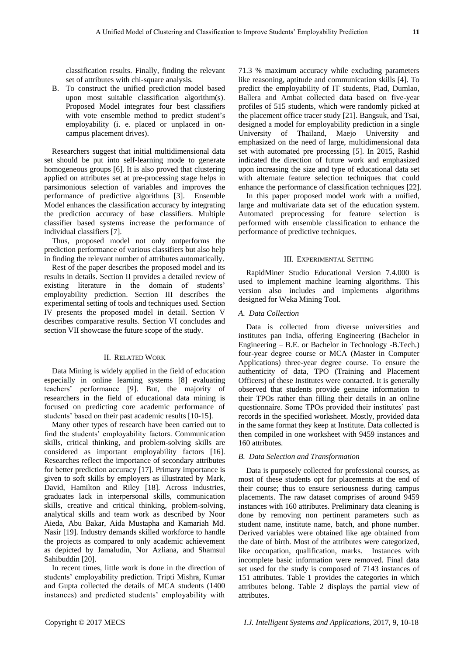classification results. Finally, finding the relevant set of attributes with chi-square analysis.

B. To construct the unified prediction model based upon most suitable classification algorithm(s). Proposed Model integrates four best classifiers with vote ensemble method to predict student's employability (i. e. placed or unplaced in oncampus placement drives).

Researchers suggest that initial multidimensional data set should be put into self-learning mode to generate homogeneous groups [6]. It is also proved that clustering applied on attributes set at pre-processing stage helps in parsimonious selection of variables and improves the performance of predictive algorithms [3]. Ensemble Model enhances the classification accuracy by integrating the prediction accuracy of base classifiers. Multiple classifier based systems increase the performance of individual classifiers [7].

Thus, proposed model not only outperforms the prediction performance of various classifiers but also help in finding the relevant number of attributes automatically.

Rest of the paper describes the proposed model and its results in details. Section II provides a detailed review of existing literature in the domain of students' employability prediction. Section III describes the experimental setting of tools and techniques used. Section IV presents the proposed model in detail. Section V describes comparative results. Section VI concludes and section VII showcase the future scope of the study.

# II. RELATED WORK

Data Mining is widely applied in the field of education especially in online learning systems [8] evaluating teachers' performance [9]. But, the majority of researchers in the field of educational data mining is focused on predicting core academic performance of students' based on their past academic results [10-15].

Many other types of research have been carried out to find the students' employability factors. Communication skills, critical thinking, and problem-solving skills are considered as important employability factors [16]. Researches reflect the importance of secondary attributes for better prediction accuracy [17]. Primary importance is given to soft skills by employers as illustrated by Mark, David, Hamilton and Riley [18]. Across industries, graduates lack in interpersonal skills, communication skills, creative and critical thinking, problem-solving, analytical skills and team work as described by Noor Aieda, Abu Bakar, Aida Mustapha and Kamariah Md. Nasir [19]. Industry demands skilled workforce to handle the projects as compared to only academic achievement as depicted by Jamaludin, Nor Azliana, and Shamsul Sahibuddin [20].

In recent times, little work is done in the direction of students' employability prediction. Tripti Mishra, Kumar and Gupta collected the details of MCA students (1400 instances) and predicted students' employability with

71.3 % maximum accuracy while excluding parameters like reasoning, aptitude and communication skills [4]. To predict the employability of IT students, Piad, Dumlao, Ballera and Ambat collected data based on five-year profiles of 515 students, which were randomly picked at the placement office tracer study [21]. Bangsuk, and Tsai, designed a model for employability prediction in a single University of Thailand, Maejo University and emphasized on the need of large, multidimensional data set with automated pre processing [5]. In 2015, Rashid indicated the direction of future work and emphasized upon increasing the size and type of educational data set with alternate feature selection techniques that could enhance the performance of classification techniques [22].

In this paper proposed model work with a unified, large and multivariate data set of the education system. Automated preprocessing for feature selection is performed with ensemble classification to enhance the performance of predictive techniques.

### III. EXPERIMENTAL SETTING

RapidMiner Studio Educational Version 7.4.000 is used to implement machine learning algorithms. This version also includes and implements algorithms designed for Weka Mining Tool.

# *A. Data Collection*

Data is collected from diverse universities and institutes pan India, offering Engineering (Bachelor in Engineering – B.E. or Bachelor in Technology -B.Tech.) four-year degree course or MCA (Master in Computer Applications) three-year degree course. To ensure the authenticity of data, TPO (Training and Placement Officers) of these Institutes were contacted. It is generally observed that students provide genuine information to their TPOs rather than filling their details in an online questionnaire. Some TPOs provided their institutes' past records in the specified worksheet. Mostly, provided data in the same format they keep at Institute. Data collected is then compiled in one worksheet with 9459 instances and 160 attributes.

## *B. Data Selection and Transformation*

Data is purposely collected for professional courses, as most of these students opt for placements at the end of their course; thus to ensure seriousness during campus placements. The raw dataset comprises of around 9459 instances with 160 attributes. Preliminary data cleaning is done by removing non pertinent parameters such as student name, institute name, batch, and phone number. Derived variables were obtained like age obtained from the date of birth. Most of the attributes were categorized, like occupation, qualification, marks. Instances with incomplete basic information were removed. Final data set used for the study is composed of 7143 instances of 151 attributes. Table 1 provides the categories in which attributes belong. Table 2 displays the partial view of attributes.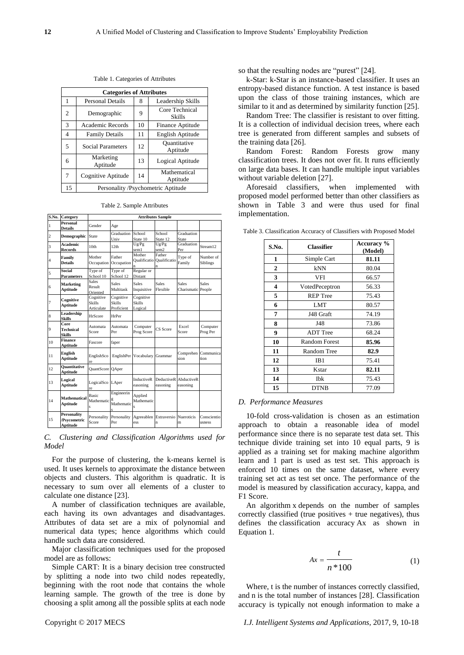**S.No. Category**

| <b>Categories of Attributes</b> |                                    |    |                                 |  |  |
|---------------------------------|------------------------------------|----|---------------------------------|--|--|
| 1                               | <b>Personal Details</b>            | 8  | Leadership Skills               |  |  |
| $\overline{c}$                  | Demographic                        | 9  | Core Technical<br><b>Skills</b> |  |  |
| 3                               | Academic Records                   | 10 | Finance Aptitude                |  |  |
| 4                               | <b>Family Details</b>              | 11 | English Aptitude                |  |  |
| 5                               | <b>Social Parameters</b>           | 12 | Quantitative<br>Aptitude        |  |  |
| 6                               | Marketing<br>Aptitude              | 13 | Logical Aptitude                |  |  |
|                                 | Cognitive Aptitude                 | 14 | Mathematical<br>Aptitude        |  |  |
| 15                              | Personality /Psychometric Aptitude |    |                                 |  |  |

Table 1. Categories of Attributes

|  |  |  | Table 2. Sample Attributes |
|--|--|--|----------------------------|
|--|--|--|----------------------------|

|                         | S.No. Category                          | <b>Attributes Sample</b>           |                                   |                                       |                             |                                    |                       |
|-------------------------|-----------------------------------------|------------------------------------|-----------------------------------|---------------------------------------|-----------------------------|------------------------------------|-----------------------|
| $\mathbf{1}$            | Personal<br><b>Details</b>              | Gender                             | Age                               |                                       |                             |                                    |                       |
| $\overline{c}$          | <b>Demographic</b>                      | State                              | Graduation<br>Univ                | School<br>State 10                    | School<br>State 12          | Graduation<br>State                |                       |
| $\overline{\mathbf{3}}$ | Academic<br>Records                     | 10 <sub>th</sub>                   | 12th                              | Ug/Pg<br>sem1                         | Ug/Pg<br>sem <sub>2</sub>   | Graduation<br>Per                  | Stream12              |
| 4                       | Family<br><b>Details</b>                | Mother<br>Occupation Occupation    | Father                            | Mother<br>Qualificatio                | Father<br>Qualificatio<br>n | Type of<br>Family                  | Number of<br>Siblings |
| 5                       | Social<br>Parameters                    | Type of<br>School 10               | Type of<br>School 12              | Regular or<br>Distant                 |                             |                                    |                       |
| 6                       | <b>Marketing</b><br>Aptitude            | <b>Sales</b><br>Result<br>Oriented | Sales<br>Multitask                | Sales<br>Inquisitive                  | <b>Sales</b><br>Flexible    | <b>Sales</b><br>Charismatic People | <b>Sales</b>          |
| 7                       | Cognitive<br>Aptitude                   | Cognitive<br>Skills<br>Articulate  | Cognitive<br>Skills<br>Proficient | Cognitive<br><b>Skills</b><br>Logical |                             |                                    |                       |
| 8                       | Leadership<br><b>Skills</b>             | <b>HrScore</b>                     | HrPer                             |                                       |                             |                                    |                       |
| 9                       | Core<br>Technical<br>Skills             | Automata<br>Score                  | Automata<br>Per                   | Computer<br>Prog Score                | CS Score                    | Excel<br>Score                     | Computer<br>Prog Per  |
| 10                      | Finance<br>Aptitude                     | Fascore                            | faper                             |                                       |                             |                                    |                       |
| 11                      | English<br>Aptitude                     | EnglishSco<br>re                   | EnglishPer                        | Vocabulary                            | Grammar                     | Comprehen<br>sion                  | Communica<br>tion     |
| 12                      | <b>Ouantitative</b><br>Aptitude         | QuantScore QAper                   |                                   |                                       |                             |                                    |                       |
| 13                      | Logical<br>Aptitude                     | LogicalSco LAper<br>re             |                                   | <b>InductiveR</b><br>easoning         | easoning                    | DeductiveR AbductiveR<br>easoning  |                       |
| 14                      | <b>Mathematical</b><br>Aptitude         | Basic<br>Mathematic<br>Ś           | Engineerin<br>Mathematic          | Applied<br>Mathematic                 |                             |                                    |                       |
| 15                      | Personality<br>/Psycometric<br>Aptitude | Personality<br>Score               | Personality<br>Per                | Agreeablen<br>ess                     | Extraversio<br>n            | Nueroticis<br>m                    | Conscientio<br>usness |

*C. Clustering and Classification Algorithms used for Model*

For the purpose of clustering, the k-means kernel is used. It uses kernels to approximate the distance between objects and clusters. This algorithm is quadratic. It is necessary to sum over all elements of a cluster to calculate one distance [23].

A number of classification techniques are available, each having its own advantages and disadvantages. Attributes of data set are a mix of polynomial and numerical data types; hence algorithms which could handle such data are considered.

Major classification techniques used for the proposed model are as follows:

Simple CART: It is a binary decision tree constructed by splitting a node into two child nodes repeatedly, beginning with the root node that contains the whole learning sample. The growth of the tree is done by choosing a split among all the possible splits at each node

so that the resulting nodes are "purest" [24].

k-Star: k-Star is an instance-based classifier. It uses an entropy-based distance function. A test instance is based upon the class of those training instances, which are similar to it and as determined by similarity function [25].

Random Tree: The classifier is resistant to over fitting. It is a collection of individual decision trees, where each tree is generated from different samples and subsets of the training data [26].

Random Forest: Random Forests grow many classification trees. It does not over fit. It runs efficiently on large data bases. It can handle multiple input variables without variable deletion [27].

Aforesaid classifiers, when implemented with proposed model performed better than other classifiers as shown in Table 3 and were thus used for final implementation.

| S.No.          | <b>Classifier</b>    | Accuracy %<br>(Model) |
|----------------|----------------------|-----------------------|
| 1              | Simple Cart          | 81.11                 |
| $\overline{2}$ | kNN                  | 80.04                 |
| 3              | <b>VFI</b>           | 66.57                 |
| 4              | VotedPeceptron       | 56.33                 |
| 5              | <b>REP</b> Tree      | 75.43                 |
| 6              | LMT                  | 80.57                 |
| 7              | J48 Graft            | 74.19                 |
| 8              | J48                  | 73.86                 |
| 9              | <b>ADT</b> Tree      | 68.24                 |
| 10             | <b>Random Forest</b> | 85.96                 |
| 11             | <b>Random Tree</b>   | 82.9                  |
| 12             | IB1                  | 75.41                 |
| 13             | Kstar                | 82.11                 |
| 14             | Ibk                  | 75.43                 |
| 15             | <b>DTNB</b>          | 77.09                 |

Table 3. Classification Accuracy of Classifiers with Proposed Model

### *D. Performance Measures*

10-fold cross-validation is chosen as an estimation approach to obtain a reasonable idea of model performance since there is no separate test data set. This technique divide training set into 10 equal parts, 9 is applied as a training set for making machine algorithm learn and 1 part is used as test set. This approach is enforced 10 times on the same dataset, where every training set act as test set once. The performance of the model is measured by classification accuracy, kappa, and F1 Score.

An algorithm x depends on the number of samples correctly classified (true positives  $+$  true negatives), thus defines the classification accuracy Ax as shown in Equation 1.

$$
Ax = \frac{t}{n*100} \tag{1}
$$

Where, t is the number of instances correctly classified, and n is the total number of instances [28]. Classification accuracy is typically not enough information to make a

Copyright © 2017 MECS *I.J. Intelligent Systems and Applications,* 2017, 9, 10-18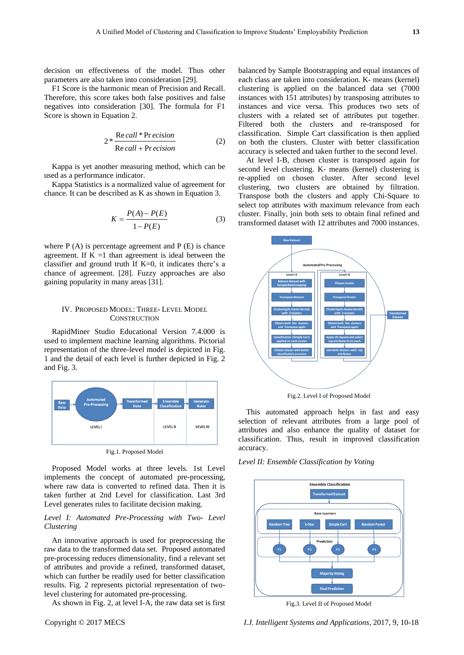decision on effectiveness of the model. Thus other parameters are also taken into consideration [29].

F1 Score is the harmonic mean of Precision and Recall. Therefore, this score takes both false positives and false negatives into consideration [30]. The formula for F1 Score is shown in Equation 2.

$$
2 * \frac{\text{Re }call * \text{Pr }ecision}{\text{Re }call + \text{Pr }ecision}
$$
 (2)

Kappa is yet another measuring method, which can be used as a performance indicator.

Kappa Statistics is a normalized value of agreement for chance. It can be described as K as shown in Equation 3.

$$
K = \frac{P(A) - P(E)}{1 - P(E)}
$$
 (3)

where  $P(A)$  is percentage agreement and  $P(E)$  is chance agreement. If  $K = 1$  than agreement is ideal between the classifier and ground truth If  $K=0$ , it indicates there's a chance of agreement. [28]. Fuzzy approaches are also gaining popularity in many areas [31].

# IV. PROPOSED MODEL: THREE- LEVEL MODEL **CONSTRUCTION**

RapidMiner Studio Educational Version 7.4.000 is used to implement machine learning algorithms. Pictorial representation of the three-level model is depicted in Fig. 1 and the detail of each level is further depicted in Fig. 2 and Fig. 3.



Fig.1. Proposed Model

Proposed Model works at three levels. 1st Level implements the concept of automated pre-processing, where raw data is converted to refined data. Then it is taken further at 2nd Level for classification. Last 3rd Level generates rules to facilitate decision making.

# *Level I: Automated Pre-Processing with Two- Level Clustering*

An innovative approach is used for preprocessing the raw data to the transformed data set. Proposed automated pre-processing reduces dimensionality, find a relevant set of attributes and provide a refined, transformed dataset, which can further be readily used for better classification results. Fig. 2 represents pictorial representation of twolevel clustering for automated pre-processing.

As shown in Fig. 2, at level I-A, the raw data set is first

accuracy is selected and taken further to the second level. At level I-B, chosen cluster is transposed again for second level clustering. K- means (kernel) clustering is re-applied on chosen cluster. After second level clustering, two clusters are obtained by filtration. Transpose both the clusters and apply Chi-Square to select top attributes with maximum relevance from each cluster. Finally, join both sets to obtain final refined and transformed dataset with 12 attributes and 7000 instances.

classification. Simple Cart classification is then applied on both the clusters. Cluster with better classification



Fig.2. Level I of Proposed Model

This automated approach helps in fast and easy selection of relevant attributes from a large pool of attributes and also enhance the quality of dataset for classification. Thus, result in improved classification accuracy.

*Level II: Ensemble Classification by Voting* 



Fig.3. Level II of Proposed Model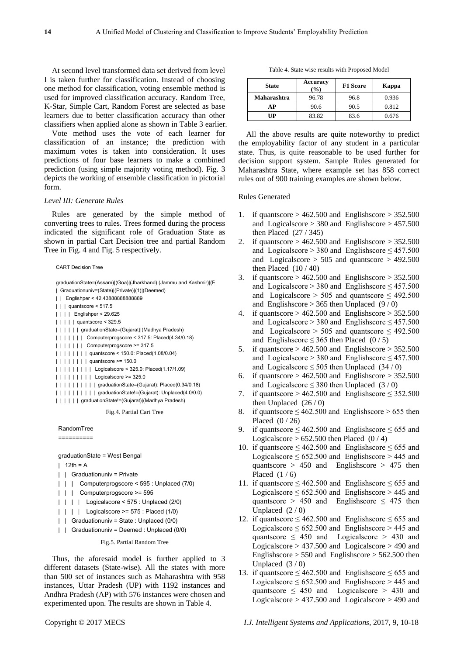At second level transformed data set derived from level I is taken further for classification. Instead of choosing one method for classification, voting ensemble method is used for improved classification accuracy. Random Tree, K-Star, Simple Cart, Random Forest are selected as base learners due to better classification accuracy than other classifiers when applied alone as shown in Table 3 earlier.

Vote method uses the vote of each learner for classification of an instance; the prediction with maximum votes is taken into consideration. It uses predictions of four base learners to make a combined prediction (using simple majority voting method). Fig. 3 depicts the working of ensemble classification in pictorial form.

# *Level III: Generate Rules*

Rules are generated by the simple method of converting trees to rules. Trees formed during the process indicated the significant role of Graduation State as shown in partial Cart Decision tree and partial Random Tree in Fig. 4 and Fig. 5 respectively.

graduationState=(Assam)|(Goa)|(Jharkhand)|(Jammu and Kashmir)|(F

- | Graduationuniv=(State)|(Private)|(1)|(Deemed)
- | | Englishper < 42.43888888888889 | | | quantscore < 517.5
- 
- | | | | Englishper < 29.625
- | | | | | quantscore < 329.5
- | | | | | | graduationState=(Gujarat)|(Madhya Pradesh)
- | | | | | | | Computerprogscore < 317.5: Placed(4.34/0.18)
- | | | | | | | Computerprogscore >= 317.5
- | | | | | | | | quantscore < 150.0: Placed(1.08/0.04)
- | | | | | | | | quantscore > = 150.0
- | | | | | | | | | Logicalscore < 325.0: Placed(1.17/1.09)
- | | | | | | | | | Logicalscore >= 325.0
- | | | | | | | | | | graduationState=(Gujarat): Placed(0.34/0.18)
- | | | | | | | | | | graduationState!=(Gujarat): Unplaced(4.0/0.0) | | | | | | graduationState!=(Gujarat)|(Madhya Pradesh)

Fig.4. Partial Cart Tree

### RandomTree

==========

graduationState = West Bengal

- $12th = A$
- | | Graduationuniv = Private
- | | | Computerprogscore < 595 : Unplaced (7/0)
- | | | Computerprogscore >= 595
- | | | | Logicalscore < 575 : Unplaced (2/0)
- | | | | Logicalscore >= 575 : Placed (1/0)
- | | Graduationuniv = State : Unplaced (0/0)
- | | Graduationuniv = Deemed : Unplaced (0/0)

Fig.5. Partial Random Tree

Thus, the aforesaid model is further applied to 3 different datasets (State-wise). All the states with more than 500 set of instances such as Maharashtra with 958 instances, Uttar Pradesh (UP) with 1192 instances and Andhra Pradesh (AP) with 576 instances were chosen and experimented upon. The results are shown in Table 4.

Table 4. State wise results with Proposed Model

| <b>State</b> | Accuracy<br>$($ %) | <b>F1 Score</b> | Kappa |
|--------------|--------------------|-----------------|-------|
| Maharashtra  | 96.78              | 96.8            | 0.936 |
| AР           | 90.6               | 90.5            | 0.812 |
| UР           | 83.82              | 83.6            | 0.676 |

All the above results are quite noteworthy to predict the employability factor of any student in a particular state. Thus, is quite reasonable to be used further for decision support system. Sample Rules generated for Maharashtra State, where example set has 858 correct rules out of 900 training examples are shown below.

## Rules Generated

- 1. if quantscore  $> 462.500$  and Englishscore  $> 352.500$ and Logicalscore  $> 380$  and Englishscore  $> 457.500$ then Placed (27 / 345)
- 2. if quantscore  $> 462.500$  and Englishscore  $> 352.500$ and Logicalscore > 380 and Englishscore  $\leq$  457.500 and Logicalscore  $> 505$  and quantscore  $> 492.500$ then Placed  $(10/40)$
- 3. if quantscore  $> 462.500$  and Englishscore  $> 352.500$ and Logicalscore  $> 380$  and Englishscore  $\leq 457.500$ and Logicalscore > 505 and quantscore  $\leq$  492.500 and Englishscore  $> 365$  then Unplaced (9/0)
- 4. if quantscore  $> 462.500$  and Englishscore  $> 352.500$ and Logicalscore > 380 and Englishscore  $\leq$  457.500 and Logicalscore > 505 and quantscore  $\leq$  492.500 and Englishscore  $\leq$  365 then Placed (0/5)
- 5. if quantscore  $> 462.500$  and Englishscore  $> 352.500$ and Logicalscore > 380 and Englishscore  $\leq$  457.500 and Logicalscore  $\leq$  505 then Unplaced (34/0)
- 6. if quantscore  $> 462.500$  and Englishscore  $> 352.500$ and Logicalscore  $\leq$  380 then Unplaced (3/0)
- 7. if quantscore  $> 462.500$  and Englishscore  $\leq 352.500$ then Unplaced  $(26/0)$
- 8. if quantscore  $\leq 462.500$  and Englishscore  $> 655$  then Placed (0 / 26)
- 9. if quantscore  $\leq 462.500$  and Englishscore  $\leq 655$  and Logicalscore  $> 652.500$  then Placed (0/4)
- 10. if quantscore  $\leq 462.500$  and Englishscore  $\leq 655$  and Logicalscore  $\leq 652.500$  and Englishscore  $> 445$  and quantscore  $> 450$  and Englishscore  $> 475$  then Placed  $(1/6)$
- 11. if quantscore  $\leq 462.500$  and Englishscore  $\leq 655$  and Logicalscore  $\leq 652.500$  and Englishscore  $> 445$  and quantscore > 450 and Englishscore  $\leq$  475 then Unplaced  $(2/0)$
- 12. if quantscore  $\leq 462.500$  and Englishscore  $\leq 655$  and Logicalscore  $\leq 652.500$  and Englishscore  $> 445$  and quantscore  $\leq$  450 and Logicalscore  $>$  430 and Logicalscore  $> 437.500$  and Logicalscore  $> 490$  and Englishscore > 550 and Englishscore > 562.500 then Unplaced  $(3/0)$ Continuum (From Continuum Continuum Continuum Continuum Continuum Continuum Continuum Continuum Continuum Continuum Continuum Continuum Continuum Continuum Continuum Continuum Continuum Continuum Continuum Continuum Conti
	- 13. if quantscore  $\leq 462.500$  and Englishscore  $\leq 655$  and Logicalscore  $\leq 652.500$  and Englishscore  $> 445$  and quantscore  $\leq$  450 and Logicalscore  $>$  430 and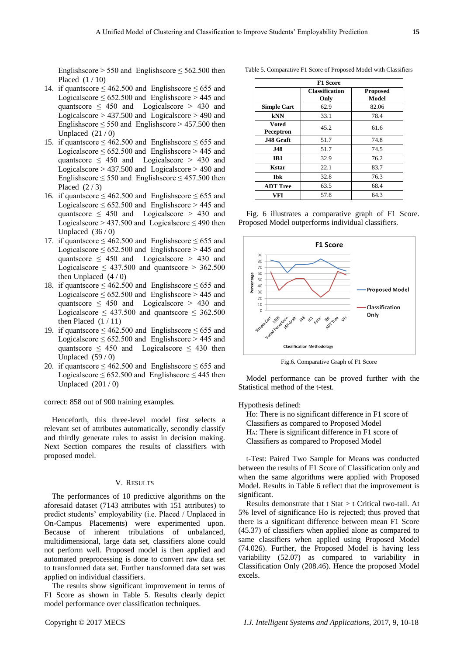Englishscore  $> 550$  and Englishscore  $\leq 562.500$  then Placed (1 / 10)

- 14. if quantscore  $\leq 462.500$  and Englishscore  $\leq 655$  and Logicalscore  $\leq 652.500$  and Englishscore  $> 445$  and quantscore  $\leq$  450 and Logicalscore  $>$  430 and Logicalscore  $> 437.500$  and Logicalscore  $> 490$  and Englishscore  $\leq$  550 and Englishscore  $>$  457.500 then Unplaced  $(21/0)$
- 15. if quantscore  $\leq 462.500$  and Englishscore  $\leq 655$  and Logicalscore  $\leq 652.500$  and Englishscore  $> 445$  and quantscore  $\leq$  450 and Logicalscore  $>$  430 and Logicalscore > 437.500 and Logicalscore > 490 and Englishscore  $\leq$  550 and Englishscore  $\leq$  457.500 then Placed  $(2/3)$
- 16. if quantscore  $\leq 462.500$  and Englishscore  $\leq 655$  and Logicalscore  $\leq 652.500$  and Englishscore  $> 445$  and quantscore  $\leq$  450 and Logicalscore  $>$  430 and Logicalscore  $> 437.500$  and Logicalscore  $\leq 490$  then Unplaced (36 / 0)
- 17. if quantscore  $\leq 462.500$  and Englishscore  $\leq 655$  and Logicalscore  $\leq 652.500$  and Englishscore  $> 445$  and quantscore  $\leq$  450 and Logicalscore  $>$  430 and Logicalscore  $\leq$  437.500 and quantscore  $>$  362.500 then Unplaced  $(4/0)$
- 18. if quantscore  $\leq 462.500$  and Englishscore  $\leq 655$  and Logicalscore  $\leq 652.500$  and Englishscore  $> 445$  and quantscore  $\leq$  450 and Logicalscore  $>$  430 and Logicalscore  $\leq$  437.500 and quantscore  $\leq$  362.500 then Placed  $(1/11)$
- 19. if quantscore  $\leq 462.500$  and Englishscore  $\leq 655$  and Logicalscore  $\leq 652.500$  and Englishscore  $> 445$  and quantscore  $\leq$  450 and Logicalscore  $\leq$  430 then Unplaced  $(59/0)$
- 20. if quantscore  $\leq 462.500$  and Englishscore  $\leq 655$  and Logicalscore  $\leq 652.500$  and Englishscore  $\leq 445$  then Unplaced  $(201/0)$

correct: 858 out of 900 training examples.

Henceforth, this three-level model first selects a relevant set of attributes automatically, secondly classify and thirdly generate rules to assist in decision making. Next Section compares the results of classifiers with proposed model.

# V. RESULTS

The performances of 10 predictive algorithms on the aforesaid dataset (7143 attributes with 151 attributes) to predict students' employability (i.e. Placed / Unplaced in On-Campus Placements) were experimented upon. Because of inherent tribulations of unbalanced, multidimensional, large data set, classifiers alone could not perform well. Proposed model is then applied and automated preprocessing is done to convert raw data set to transformed data set. Further transformed data set was applied on individual classifiers.

The results show significant improvement in terms of F1 Score as shown in Table 5. Results clearly depict model performance over classification techniques.

**Classification Only Proposed Model Simple Cart** 62.9 82.06 **kNN** 33.1 78.4 **Voted Peceptron** 45.2 61.6 **J48 Graft** 51.7 74.8 **J48**  $\vert$  51.7  $\vert$  74.5 **IB1** 32.9 76.2 **Kstar** 22.1 83.7 **Ibk** 32.8 76.3 **ADT Tree** 63.5 68.4 **VFI** 1 57.8 1 64.3

Table 5. Comparative F1 Score of Proposed Model with Classifiers **F1 Score**

Fig. 6 illustrates a comparative graph of F1 Score. Proposed Model outperforms individual classifiers.



Fig.6. Comparative Graph of F1 Score

Model performance can be proved further with the Statistical method of the t-test.

### Hypothesis defined:

Ho: There is no significant difference in F1 score of Classifiers as compared to Proposed Model HA: There is significant difference in F1 score of Classifiers as compared to Proposed Model

t-Test: Paired Two Sample for Means was conducted between the results of F1 Score of Classification only and when the same algorithms were applied with Proposed Model. Results in Table 6 reflect that the improvement is significant.

Results demonstrate that t Stat > t Critical two-tail. At 5% level of significance Ho is rejected; thus proved that there is a significant difference between mean F1 Score (45.37) of classifiers when applied alone as compared to same classifiers when applied using Proposed Model (74.026). Further, the Proposed Model is having less variability (52.07) as compared to variability in Classification Only (208.46). Hence the proposed Model excels.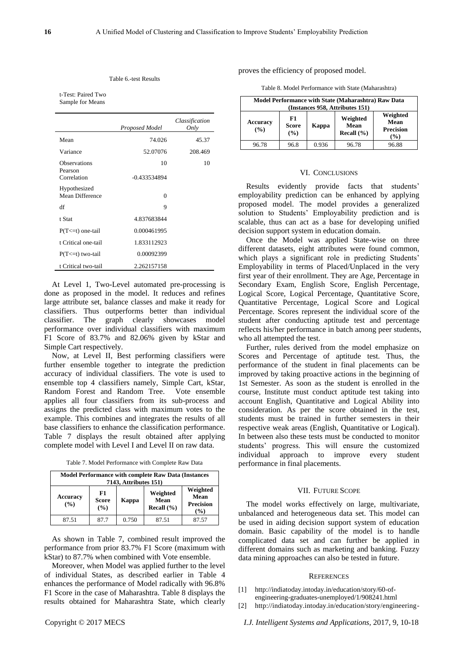### Table 6.-test Results

t-Test: Paired Two Sample for Means

|                                               | Proposed Model       | Classification<br>Only |
|-----------------------------------------------|----------------------|------------------------|
| Mean                                          | 74.026               | 45.37                  |
| Variance                                      | 52.07076             | 208.469                |
| <b>Observations</b><br>Pearson<br>Correlation | 10<br>$-0.433534894$ | 10                     |
| Hypothesized<br>Mean Difference               | $\theta$             |                        |
| df                                            | 9                    |                        |
| t Stat                                        | 4.837683844          |                        |
| $P(T \le t)$ one-tail                         | 0.000461995          |                        |
| t Critical one-tail                           | 1.833112923          |                        |
| $P(T \le t)$ two-tail                         | 0.00092399           |                        |
| t Critical two-tail                           | 2.262157158          |                        |

At Level 1, Two-Level automated pre-processing is done as proposed in the model. It reduces and refines large attribute set, balance classes and make it ready for classifiers. Thus outperforms better than individual classifier. The graph clearly showcases model performance over individual classifiers with maximum F1 Score of 83.7% and 82.06% given by kStar and Simple Cart respectively.

Now, at Level II, Best performing classifiers were further ensemble together to integrate the prediction accuracy of individual classifiers. The vote is used to ensemble top 4 classifiers namely, Simple Cart, kStar, Random Forest and Random Tree. Vote ensemble applies all four classifiers from its sub-process and assigns the predicted class with maximum votes to the example. This combines and integrates the results of all base classifiers to enhance the classification performance. Table 7 displays the result obtained after applying complete model with Level I and Level II on raw data.

Table 7. Model Performance with Complete Raw Data

| <b>Model Performance with complete Raw Data (Instances)</b><br>7143, Attributes 151) |                           |                                    |                                             |       |  |  |
|--------------------------------------------------------------------------------------|---------------------------|------------------------------------|---------------------------------------------|-------|--|--|
| <b>Accuracy</b><br>(%)                                                               | F1<br><b>Score</b><br>(%) | Weighted<br>Mean<br>Recall $(\% )$ | Weighted<br>Mean<br><b>Precision</b><br>(%) |       |  |  |
| 87.51                                                                                | 87.7                      | 0.750                              | 87.51                                       | 87.57 |  |  |

As shown in Table 7, combined result improved the performance from prior 83.7% F1 Score (maximum with kStar) to 87.7% when combined with Vote ensemble.

Moreover, when Model was applied further to the level of individual States, as described earlier in Table 4 enhances the performance of Model radically with 96.8% F1 Score in the case of Maharashtra. Table 8 displays the results obtained for Maharashtra State, which clearly

proves the efficiency of proposed model.

Table 8. Model Performance with State (Maharashtra)

| Model Performance with State (Maharashtra) Raw Data<br>(Instances 958, Attributes 151) |                             |       |                                |                                                       |  |  |
|----------------------------------------------------------------------------------------|-----------------------------|-------|--------------------------------|-------------------------------------------------------|--|--|
| Accuracy<br>(%)                                                                        | F1<br><b>Score</b><br>(9/0) | Kappa | Weighted<br>Mean<br>Recall (%) | Weighted<br>Mean<br><b>Precision</b><br>$\frac{9}{6}$ |  |  |
| 96.78                                                                                  | 96.8                        | 0.936 | 96.78                          | 96.88                                                 |  |  |

### VI. CONCLUSIONS

Results evidently provide facts that students' employability prediction can be enhanced by applying proposed model. The model provides a generalized solution to Students' Employability prediction and is scalable, thus can act as a base for developing unified decision support system in education domain.

Once the Model was applied State-wise on three different datasets, eight attributes were found common, which plays a significant role in predicting Students' Employability in terms of Placed/Unplaced in the very first year of their enrollment. They are Age, Percentage in Secondary Exam, English Score, English Percentage, Logical Score, Logical Percentage, Quantitative Score, Quantitative Percentage, Logical Score and Logical Percentage. Scores represent the individual score of the student after conducting aptitude test and percentage reflects his/her performance in batch among peer students, who all attempted the test.

Further, rules derived from the model emphasize on Scores and Percentage of aptitude test. Thus, the performance of the student in final placements can be improved by taking proactive actions in the beginning of 1st Semester. As soon as the student is enrolled in the course, Institute must conduct aptitude test taking into account English, Quantitative and Logical Ability into consideration. As per the score obtained in the test, students must be trained in further semesters in their respective weak areas (English, Quantitative or Logical). In between also these tests must be conducted to monitor students' progress. This will ensure the customized individual approach to improve every student performance in final placements.

### VII. FUTURE SCOPE

The model works effectively on large, multivariate, unbalanced and heterogeneous data set. This model can be used in aiding decision support system of education domain. Basic capability of the model is to handle complicated data set and can further be applied in different domains such as marketing and banking. Fuzzy data mining approaches can also be tested in future.

### **REFERENCES**

- [1] http://indiatoday.intoday.in/education/story/60-ofengineering-graduates-unemployed/1/908241.html
- [2] http://indiatoday.intoday.in/education/story/engineering-

Copyright © 2017 MECS *I.J. Intelligent Systems and Applications,* 2017, 9, 10-18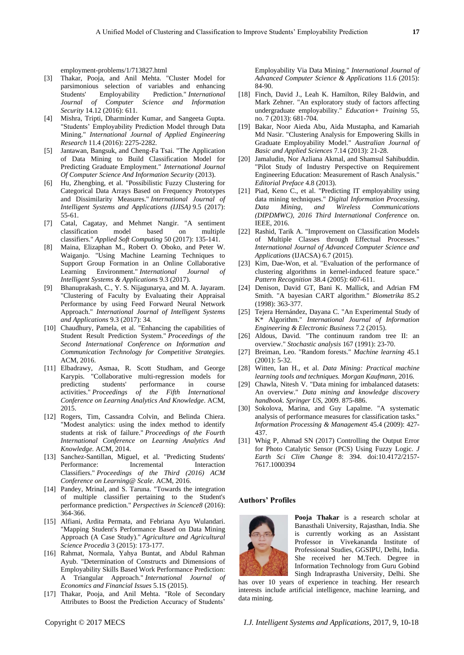employment-problems/1/713827.html

- [3] Thakar, Pooja, and Anil Mehta. "Cluster Model for parsimonious selection of variables and enhancing<br>Students' Employability Prediction." International Students' Employability Prediction." *International Journal of Computer Science and Information Security* 14.12 (2016): 611.
- [4] Mishra, Tripti, Dharminder Kumar, and Sangeeta Gupta. "Students' Employability Prediction Model through Data Mining." *International Journal of Applied Engineering Research* 11.4 (2016): 2275-2282.
- [5] Jantawan, Bangsuk, and Cheng-Fa Tsai. "The Application of Data Mining to Build Classification Model for Predicting Graduate Employment." *International Journal Of Computer Science And Information Security* (2013).
- [6] Hu, Zhengbing, et al. "Possibilistic Fuzzy Clustering for Categorical Data Arrays Based on Frequency Prototypes and Dissimilarity Measures." *International Journal of Intelligent Systems and Applications (IJISA)* 9.5 (2017): 55-61.
- [7] Catal, Cagatay, and Mehmet Nangir. "A sentiment classification model based on multiple classifiers." *Applied Soft Computing* 50 (2017): 135-141.
- [8] Maina, Elizaphan M., Robert O. Oboko, and Peter W. Waiganjo. "Using Machine Learning Techniques to Support Group Formation in an Online Collaborative Learning Environment." *International Journal of Intelligent Systems & Applications* 9.3 (2017).
- [9] Bhanuprakash, C., Y. S. Nijagunarya, and M. A. Jayaram. "Clustering of Faculty by Evaluating their Appraisal Performance by using Feed Forward Neural Network Approach." *International Journal of Intelligent Systems and Applications* 9.3 (2017): 34.
- [10] Chaudhury, Pamela, et al. "Enhancing the capabilities of Student Result Prediction System." *Proceedings of the Second International Conference on Information and Communication Technology for Competitive Strategies.* ACM, 2016.
- [11] Elbadrawy, Asmaa, R. Scott Studham, and George Karypis. "Collaborative multi-regression models for predicting students' performance in course activities." *Proceedings of the Fifth International Conference on Learning Analytics And Knowledge*. ACM, 2015.
- [12] Rogers, Tim, Cassandra Colvin, and Belinda Chiera. "Modest analytics: using the index method to identify students at risk of failure." *Proceedings of the Fourth International Conference on Learning Analytics And Knowledge.* ACM, 2014.
- [13] Sanchez-Santillan, Miguel, et al. "Predicting Students' Performance: Incremental Interaction Classifiers." *Proceedings of the Third (2016) ACM Conference on Learning@ Scale*. ACM, 2016.
- [14] Pandey, Mrinal, and S. Taruna. "Towards the integration of multiple classifier pertaining to the Student's performance prediction." *Perspectives in Science8* (2016): 364-366.
- [15] Alfiani, Ardita Permata, and Febriana Ayu Wulandari. "Mapping Student's Performance Based on Data Mining Approach (A Case Study)." *Agriculture and Agricultural Science Procedia* 3 (2015): 173-177.
- [16] Rahmat, Normala, Yahya Buntat, and Abdul Rahman Ayub. "Determination of Constructs and Dimensions of Employability Skills Based Work Performance Prediction: A Triangular Approach." *International Journal of Economics and Financial Issues* 5.1S (2015).
- [17] Thakar, Pooja, and Anil Mehta. "Role of Secondary Attributes to Boost the Prediction Accuracy of Students'

Employability Via Data Mining." *International Journal of Advanced Computer Science & Applications* 11.6 (2015): 84-90.

- [18] Finch, David J., Leah K. Hamilton, Riley Baldwin, and Mark Zehner. "An exploratory study of factors affecting undergraduate employability." *Education+ Training* 55, no. 7 (2013): 681-704.
- [19] Bakar, Noor Aieda Abu, Aida Mustapha, and Kamariah Md Nasir. "Clustering Analysis for Empowering Skills in Graduate Employability Model." *Australian Journal of Basic and Applied Sciences* 7.14 (2013): 21-28.
- [20] Jamaludin, Nor Azliana Akmal, and Shamsul Sahibuddin. "Pilot Study of Industry Perspective on Requirement Engineering Education: Measurement of Rasch Analysis." *Editorial Preface* 4.8 (2013).
- [21] Piad, Keno C., et al. "Predicting IT employability using data mining techniques." *Digital Information Processing, Data Mining, and Wireless Communications (DIPDMWC), 2016 Third International Conference* on. IEEE, 2016.
- [22] Rashid, Tarik A. "Improvement on Classification Models of Multiple Classes through Effectual Processes." *International Journal of Advanced Computer Science and Applications* (IJACSA) 6.7 (2015).
- [23] Kim, Dae-Won, et al. "Evaluation of the performance of clustering algorithms in kernel-induced feature space." *Pattern Recognition* 38.4 (2005): 607-611.
- [24] Denison, David GT, Bani K. Mallick, and Adrian FM Smith. "A bayesian CART algorithm." *Biometrika* 85.2 (1998): 363-377.
- [25] Tejera Hernández, Dayana C. "An Experimental Study of K\* Algorithm." *International Journal of Information Engineering & Electronic Business* 7.2 (2015).
- [26] Aldous, David. "The continuum random tree II: an overview." *Stochastic analysis* 167 (1991): 23-70.
- [27] Breiman, Leo. "Random forests." *Machine learning* 45.1 (2001): 5-32.
- [28] Witten, Ian H., et al. *Data Mining: Practical machine learning tools and techniques. Morgan Kaufmann*, 2016.
- [29] Chawla, Nitesh V. "Data mining for imbalanced datasets: An overview." *Data mining and knowledge discovery handbook. Springer US*, 2009. 875-886.
- [30] Sokolova, Marina, and Guy Lapalme. "A systematic analysis of performance measures for classification tasks." *Information Processing & Management* 45.4 (2009): 427- 437.
- [31] Whig P, Ahmad SN (2017) Controlling the Output Error for Photo Catalytic Sensor (PCS) Using Fuzzy Logic. *J Earth Sci Clim Change* 8: 394. doi:10.4172/2157- 7617.1000394

### **Authors' Profiles**



**Pooja Thakar** is a research scholar at Banasthali University, Rajasthan, India. She is currently working as an Assistant Professor in Vivekananda Institute of Professional Studies, GGSIPU, Delhi, India. She received her M.Tech. Degree in Information Technology from Guru Gobind Singh Indraprastha University, Delhi. She

has over 10 years of experience in teaching. Her research interests include artificial intelligence, machine learning, and data mining.